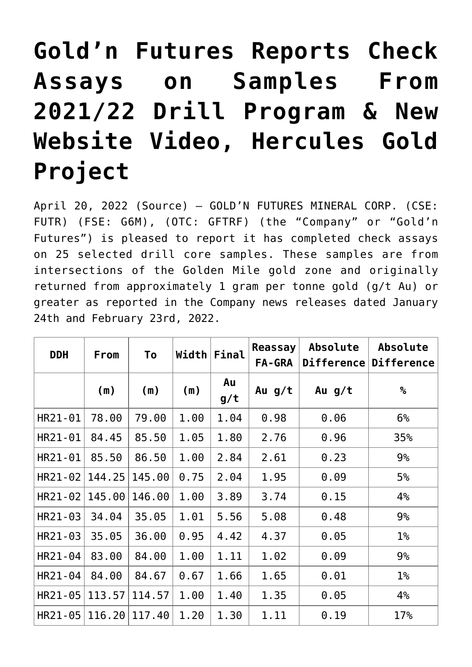# **[Gold'n Futures Reports Check](https://investorintel.com/markets/gold-silver-base-metals/gold-precious-metals-news/goldn-futures-reports-check-assays-on-samples-from-2021-22-drill-program-new-website-video-hercules-gold-project/) [Assays on Samples From](https://investorintel.com/markets/gold-silver-base-metals/gold-precious-metals-news/goldn-futures-reports-check-assays-on-samples-from-2021-22-drill-program-new-website-video-hercules-gold-project/) [2021/22 Drill Program & New](https://investorintel.com/markets/gold-silver-base-metals/gold-precious-metals-news/goldn-futures-reports-check-assays-on-samples-from-2021-22-drill-program-new-website-video-hercules-gold-project/) [Website Video, Hercules Gold](https://investorintel.com/markets/gold-silver-base-metals/gold-precious-metals-news/goldn-futures-reports-check-assays-on-samples-from-2021-22-drill-program-new-website-video-hercules-gold-project/) [Project](https://investorintel.com/markets/gold-silver-base-metals/gold-precious-metals-news/goldn-futures-reports-check-assays-on-samples-from-2021-22-drill-program-new-website-video-hercules-gold-project/)**

April 20, 2022 ([Source](https://www.globenewswire.com/news-release/2022/04/20/2425840/0/en/Gold-n-Futures-Reports-Check-Assays-on-Samples-From-2021-22-Drill-Program-New-Website-Video-Hercules-Gold-Project.html)) – GOLD'N FUTURES MINERAL CORP. (CSE: FUTR) (FSE: G6M), (OTC: GFTRF) (the "Company" or "Gold'n Futures") is pleased to report it has completed check assays on 25 selected drill core samples. These samples are from intersections of the Golden Mile gold zone and originally returned from approximately 1 gram per tonne gold (g/t Au) or greater as reported in the Company news releases dated January 24th and February 23rd, 2022.

| <b>DDH</b> | From   | To     | Width | Final     | Reassay<br>FA-GRA | <b>Absolute</b><br>Difference | <b>Absolute</b><br><b>Difference</b> |
|------------|--------|--------|-------|-----------|-------------------|-------------------------------|--------------------------------------|
|            | (m)    | (m)    | (m)   | Au<br>g/t | Au g/t            | Au $g/t$                      | $\%$                                 |
| HR21-01    | 78.00  | 79.00  | 1.00  | 1.04      | 0.98              | 0.06                          | 6%                                   |
| HR21-01    | 84.45  | 85.50  | 1.05  | 1.80      | 2.76              | 0.96                          | 35%                                  |
| HR21-01    | 85.50  | 86.50  | 1.00  | 2.84      | 2.61              | 0.23                          | 9%                                   |
| HR21-02    | 144.25 | 145.00 | 0.75  | 2.04      | 1.95              | 0.09                          | 5%                                   |
| HR21-02    | 145.00 | 146.00 | 1.00  | 3.89      | 3.74              | 0.15                          | 4%                                   |
| HR21-03    | 34.04  | 35.05  | 1.01  | 5.56      | 5.08              | 0.48                          | 9%                                   |
| HR21-03    | 35.05  | 36.00  | 0.95  | 4.42      | 4.37              | 0.05                          | $1\%$                                |
| HR21-04    | 83.00  | 84.00  | 1.00  | 1.11      | 1.02              | 0.09                          | 9%                                   |
| HR21-04    | 84.00  | 84.67  | 0.67  | 1.66      | 1.65              | 0.01                          | $1\%$                                |
| HR21-05    | 113.57 | 114.57 | 1.00  | 1.40      | 1.35              | 0.05                          | 4%                                   |
| HR21-05    | 116.20 | 117.40 | 1.20  | 1.30      | 1.11              | 0.19                          | 17%                                  |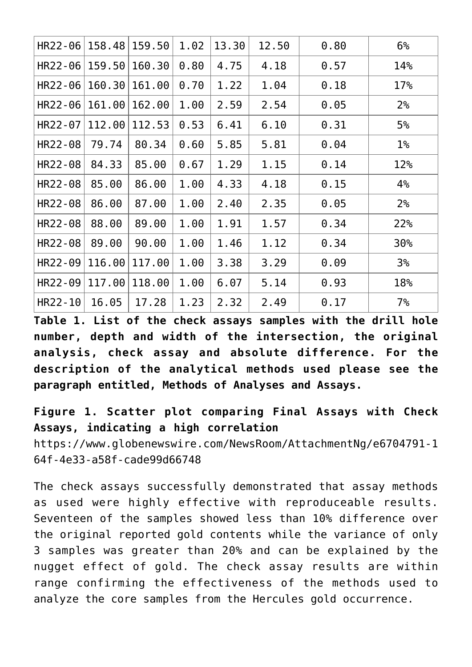| HR22-06   158.48   159.50 |               |        | 1.02 | 13.30 | 12.50 | 0.80 | 6%              |
|---------------------------|---------------|--------|------|-------|-------|------|-----------------|
| HR22-06                   | 159.50        | 160.30 | 0.80 | 4.75  | 4.18  | 0.57 | 14%             |
| HR22-06                   | 160.30 161.00 |        | 0.70 | 1.22  | 1.04  | 0.18 | 17%             |
| $HR22 - 06   161.00$      |               | 162.00 | 1.00 | 2.59  | 2.54  | 0.05 | 2 <sup>°</sup>  |
| HR22-07                   | 112.00        | 112.53 | 0.53 | 6.41  | 6.10  | 0.31 | 5%              |
| HR22-08                   | 79.74         | 80.34  | 0.60 | 5.85  | 5.81  | 0.04 | $1\%$           |
| HR22-08                   | 84.33         | 85.00  | 0.67 | 1.29  | 1.15  | 0.14 | 12%             |
| HR22-08                   | 85,00         | 86.00  | 1.00 | 4.33  | 4.18  | 0.15 | 4%              |
| HR22-08                   | 86.00         | 87.00  | 1.00 | 2.40  | 2.35  | 0.05 | 2 <sup>°</sup>  |
| HR22-08                   | 88.00         | 89.00  | 1.00 | 1.91  | 1.57  | 0.34 | 22%             |
| HR22-08                   | 89.00         | 90.00  | 1.00 | 1.46  | 1.12  | 0.34 | 30 <sub>°</sub> |
| HR22-09                   | 116.00        | 117.00 | 1.00 | 3.38  | 3.29  | 0.09 | 3 <sup>°</sup>  |
| HR22-09                   | 117.00        | 118.00 | 1.00 | 6.07  | 5.14  | 0.93 | 18%             |
| HR22-10                   | 16.05         | 17.28  | 1.23 | 2.32  | 2.49  | 0.17 | $7\%$           |

**Table 1. List of the check assays samples with the drill hole number, depth and width of the intersection, the original analysis, check assay and absolute difference. For the description of the analytical methods used please see the paragraph entitled, Methods of Analyses and Assays.**

**Figure 1. Scatter plot comparing Final Assays with Check Assays, indicating a high correlation** [https://www.globenewswire.com/NewsRoom/AttachmentNg/e6704791-1](https://www.globenewswire.com/NewsRoom/AttachmentNg/e6704791-164f-4e33-a58f-cade99d66748) [64f-4e33-a58f-cade99d66748](https://www.globenewswire.com/NewsRoom/AttachmentNg/e6704791-164f-4e33-a58f-cade99d66748)

The check assays successfully demonstrated that assay methods as used were highly effective with reproduceable results. Seventeen of the samples showed less than 10% difference over the original reported gold contents while the variance of only 3 samples was greater than 20% and can be explained by the nugget effect of gold. The check assay results are within range confirming the effectiveness of the methods used to analyze the core samples from the Hercules gold occurrence.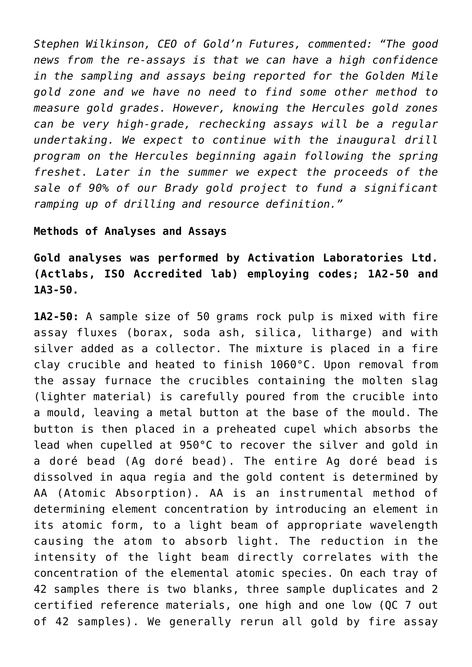*Stephen Wilkinson, CEO of Gold'n Futures, commented: "The good news from the re-assays is that we can have a high confidence in the sampling and assays being reported for the Golden Mile gold zone and we have no need to find some other method to measure gold grades. However, knowing the Hercules gold zones can be very high-grade, rechecking assays will be a regular undertaking. We expect to continue with the inaugural drill program on the Hercules beginning again following the spring freshet. Later in the summer we expect the proceeds of the sale of 90% of our Brady gold project to fund a significant ramping up of drilling and resource definition."*

#### **Methods of Analyses and Assays**

**Gold analyses was performed by Activation Laboratories Ltd. (Actlabs, ISO Accredited lab) employing codes; 1A2-50 and 1A3-50.**

**1A2-50:** A sample size of 50 grams rock pulp is mixed with fire assay fluxes (borax, soda ash, silica, litharge) and with silver added as a collector. The mixture is placed in a fire clay crucible and heated to finish 1060°C. Upon removal from the assay furnace the crucibles containing the molten slag (lighter material) is carefully poured from the crucible into a mould, leaving a metal button at the base of the mould. The button is then placed in a preheated cupel which absorbs the lead when cupelled at 950°C to recover the silver and gold in a doré bead (Ag doré bead). The entire Ag doré bead is dissolved in aqua regia and the gold content is determined by AA (Atomic Absorption). AA is an instrumental method of determining element concentration by introducing an element in its atomic form, to a light beam of appropriate wavelength causing the atom to absorb light. The reduction in the intensity of the light beam directly correlates with the concentration of the elemental atomic species. On each tray of 42 samples there is two blanks, three sample duplicates and 2 certified reference materials, one high and one low (QC 7 out of 42 samples). We generally rerun all gold by fire assay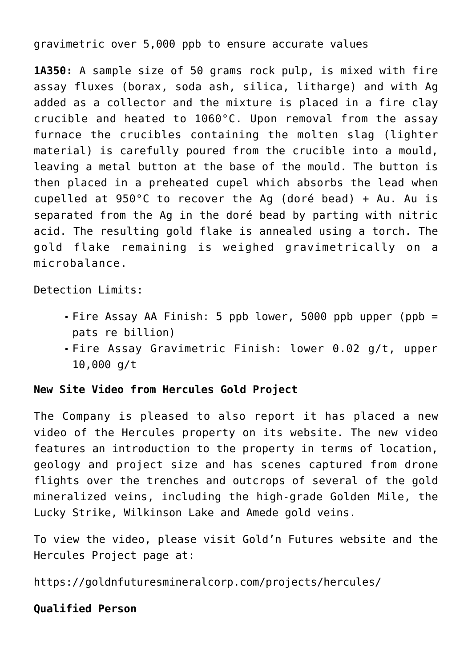gravimetric over 5,000 ppb to ensure accurate values

**1A350:** A sample size of 50 grams rock pulp, is mixed with fire assay fluxes (borax, soda ash, silica, litharge) and with Ag added as a collector and the mixture is placed in a fire clay crucible and heated to 1060°C. Upon removal from the assay furnace the crucibles containing the molten slag (lighter material) is carefully poured from the crucible into a mould, leaving a metal button at the base of the mould. The button is then placed in a preheated cupel which absorbs the lead when cupelled at 950°C to recover the Ag (doré bead) + Au. Au is separated from the Ag in the doré bead by parting with nitric acid. The resulting gold flake is annealed using a torch. The gold flake remaining is weighed gravimetrically on a microbalance.

Detection Limits:

- Fire Assay AA Finish: 5 ppb lower, 5000 ppb upper (ppb = pats re billion)
- Fire Assay Gravimetric Finish: lower 0.02 g/t, upper 10,000 g/t

## **New Site Video from Hercules Gold Project**

The Company is pleased to also report it has placed a new video of the Hercules property on its website. The new video features an introduction to the property in terms of location, geology and project size and has scenes captured from drone flights over the trenches and outcrops of several of the gold mineralized veins, including the high-grade Golden Mile, the Lucky Strike, Wilkinson Lake and Amede gold veins.

To view the video, please visit Gold'n Futures website and the Hercules Project page at:

<https://goldnfuturesmineralcorp.com/projects/hercules/>

## **Qualified Person**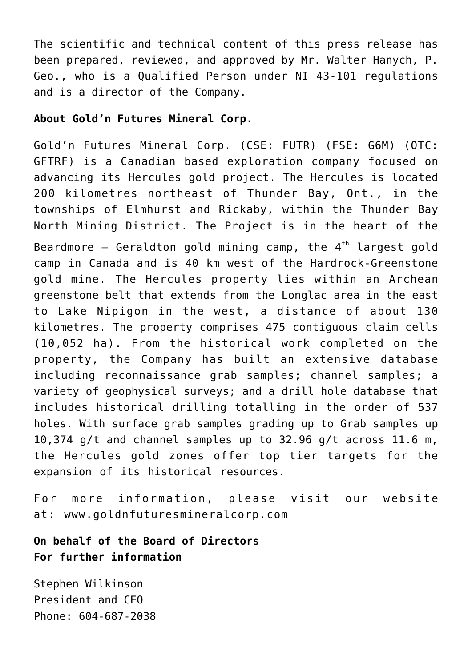The scientific and technical content of this press release has been prepared, reviewed, and approved by Mr. Walter Hanych, P. Geo., who is a Qualified Person under NI 43-101 regulations and is a director of the Company.

#### **About Gold'n Futures Mineral Corp.**

Gold'n Futures Mineral Corp. (CSE: FUTR) (FSE: G6M) (OTC: GFTRF) is a Canadian based exploration company focused on advancing its Hercules gold project. The Hercules is located 200 kilometres northeast of Thunder Bay, Ont., in the townships of Elmhurst and Rickaby, within the Thunder Bay North Mining District. The Project is in the heart of the Beardmore  $-$  Geraldton gold mining camp, the  $4<sup>th</sup>$  largest gold camp in Canada and is 40 km west of the Hardrock-Greenstone gold mine. The Hercules property lies within an Archean greenstone belt that extends from the Longlac area in the east to Lake Nipigon in the west, a distance of about 130 kilometres. The property comprises 475 contiguous claim cells (10,052 ha). From the historical work completed on the property, the Company has built an extensive database including reconnaissance grab samples; channel samples; a variety of geophysical surveys; and a drill hole database that includes historical drilling totalling in the order of 537 holes. With surface grab samples grading up to Grab samples up 10,374 g/t and channel samples up to 32.96 g/t across 11.6 m, the Hercules gold zones offer top tier targets for the expansion of its historical resources.

For more information, please visit our website at: [www.goldnfuturesmineralcorp.com](http://www.goldnfuturesmineralcorp.com/)

# **On behalf of the Board of Directors For further information**

Stephen Wilkinson President and CEO Phone: 604-687-2038